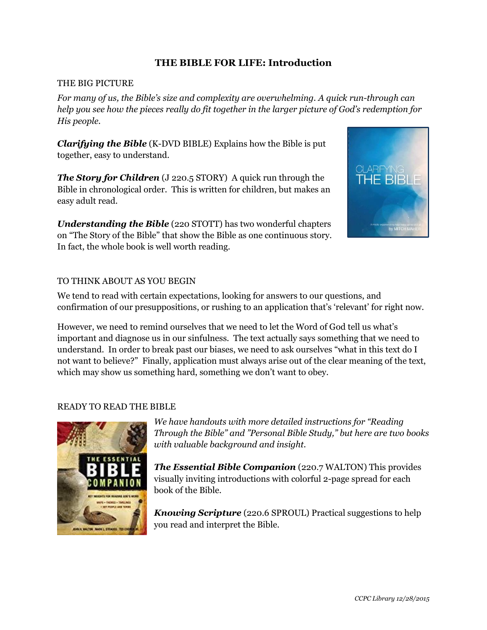## **THE BIBLE FOR LIFE: Introduction**

#### THE BIG PICTURE

*For many of us, the Bible's size and complexity are overwhelming. A quick run-through can help you see how the pieces really do fit together in the larger picture of God's redemption for His people.* 

*Clarifying the Bible* (K-DVD BIBLE) Explains how the Bible is put together, easy to understand.

*The Story for Children* (J 220.5 STORY) A quick run through the Bible in chronological order. This is written for children, but makes an easy adult read.

*Understanding the Bible* (220 STOTT) has two wonderful chapters on "The Story of the Bible" that show the Bible as one continuous story. In fact, the whole book is well worth reading.



### TO THINK ABOUT AS YOU BEGIN

We tend to read with certain expectations, looking for answers to our questions, and confirmation of our presuppositions, or rushing to an application that's 'relevant' for right now.

However, we need to remind ourselves that we need to let the Word of God tell us what's important and diagnose us in our sinfulness. The text actually says something that we need to understand. In order to break past our biases, we need to ask ourselves "what in this text do I not want to believe?" Finally, application must always arise out of the clear meaning of the text, which may show us something hard, something we don't want to obey.

## READY TO READ THE BIBLE



*We have handouts with more detailed instructions for "Reading Through the Bible" and "Personal Bible Study," but here are two books with valuable background and insight.* 

*The Essential Bible Companion* (220.7 WALTON) This provides visually inviting introductions with colorful 2-page spread for each book of the Bible.

*Knowing Scripture* (220.6 SPROUL) Practical suggestions to help you read and interpret the Bible.